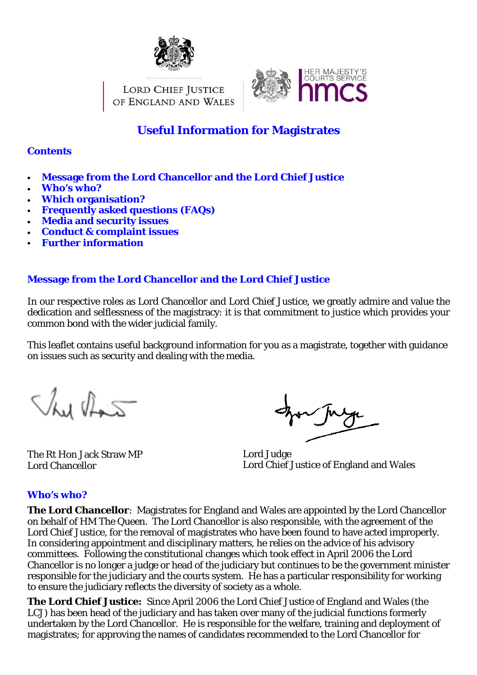

LORD CHIEF JUSTICE OF ENGLAND AND WALES



# **Useful Information for Magistrates**

#### **Contents**

- **Message from the Lord Chancellor and the Lord Chief Justice**
- **Who's who?**
- **Which organisation?**
- **Frequently asked questions (FAQs)**
- **Media and security issues**
- **Conduct & complaint issues**
- **Further information**

### **Message from the Lord Chancellor and the Lord Chief Justice**

In our respective roles as Lord Chancellor and Lord Chief Justice, we greatly admire and value the dedication and selflessness of the magistracy: it is that commitment to justice which provides your common bond with the wider judicial family.

This leaflet contains useful background information for you as a magistrate, together with guidance on issues such as security and dealing with the media.

This that

The Rt Hon Jack Straw MP Lord Chancellor

Lord Judge Lord Chief Justice of England and Wales

### **Who's who?**

**The Lord Chancellor**: Magistrates for England and Wales are appointed by the Lord Chancellor on behalf of HM The Queen. The Lord Chancellor is also responsible, with the agreement of the Lord Chief Justice, for the removal of magistrates who have been found to have acted improperly. In considering appointment and disciplinary matters, he relies on the advice of his advisory committees. Following the constitutional changes which took effect in April 2006 the Lord Chancellor is no longer a judge or head of the judiciary but continues to be the government minister responsible for the judiciary and the courts system. He has a particular responsibility for working to ensure the judiciary reflects the diversity of society as a whole.

**The Lord Chief Justice:** Since April 2006 the Lord Chief Justice of England and Wales (the LCJ) has been head of the judiciary and has taken over many of the judicial functions formerly undertaken by the Lord Chancellor. He is responsible for the welfare, training and deployment of magistrates; for approving the names of candidates recommended to the Lord Chancellor for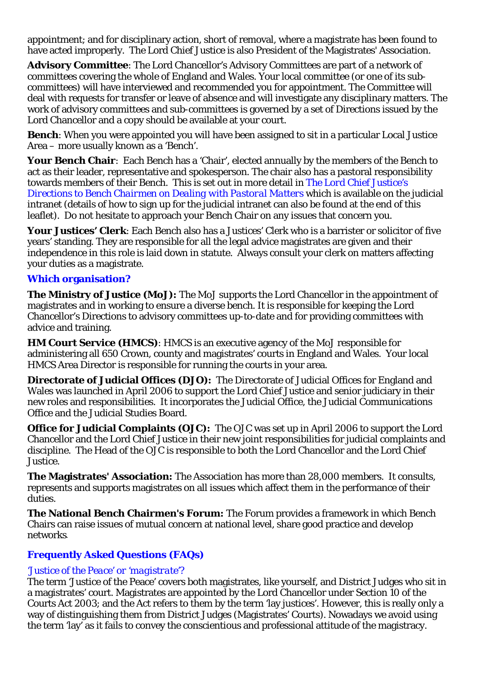appointment; and for disciplinary action, short of removal, where a magistrate has been found to have acted improperly. The Lord Chief Justice is also President of the Magistrates' Association.

**Advisory Committee**: The Lord Chancellor's Advisory Committees are part of a network of committees covering the whole of England and Wales. Your local committee (or one of its subcommittees) will have interviewed and recommended you for appointment. The Committee will deal with requests for transfer or leave of absence and will investigate any disciplinary matters. The work of advisory committees and sub-committees is governed by a set of Directions issued by the Lord Chancellor and a copy should be available at your court.

**Bench**: When you were appointed you will have been assigned to sit in a particular Local Justice Area – more usually known as a 'Bench'.

**Your Bench Chair**: Each Bench has a 'Chair', elected annually by the members of the Bench to act as their leader, representative and spokesperson. The chair also has a pastoral responsibility towards members of their Bench. This is set out in more detail in *The Lord Chief Justice's Directions to Bench Chairmen on Dealing with Pastoral Matters* which is available on the judicial intranet (details of how to sign up for the judicial intranet can also be found at the end of this leaflet). Do not hesitate to approach your Bench Chair on any issues that concern you.

**Your Justices' Clerk**: Each Bench also has a Justices' Clerk who is a barrister or solicitor of five years' standing. They are responsible for all the legal advice magistrates are given and their independence in this role is laid down in statute. Always consult your clerk on matters affecting your duties as a magistrate.

### **Which organisation?**

**The Ministry of Justice (MoJ):** The MoJ supports the Lord Chancellor in the appointment of magistrates and in working to ensure a diverse bench. It is responsible for keeping the Lord Chancellor's Directions to advisory committees up-to-date and for providing committees with advice and training.

**HM Court Service (HMCS)**: HMCS is an executive agency of the MoJ responsible for administering all 650 Crown, county and magistrates' courts in England and Wales. Your local HMCS Area Director is responsible for running the courts in your area.

**Directorate of Judicial Offices (DJO):** The Directorate of Judicial Offices for England and Wales was launched in April 2006 to support the Lord Chief Justice and senior judiciary in their new roles and responsibilities. It incorporates the Judicial Office, the Judicial Communications Office and the Judicial Studies Board.

**Office for Judicial Complaints (OJC):** The OJC was set up in April 2006 to support the Lord Chancellor and the Lord Chief Justice in their new joint responsibilities for judicial complaints and discipline. The Head of the OJC is responsible to both the Lord Chancellor and the Lord Chief Justice.

**The Magistrates' Association:** The Association has more than 28,000 members. It consults, represents and supports magistrates on all issues which affect them in the performance of their duties.

**The National Bench Chairmen's Forum:** The Forum provides a framework in which Bench Chairs can raise issues of mutual concern at national level, share good practice and develop networks*.* 

# **Frequently Asked Questions (FAQs)**

### *'Justice of the Peace' or 'magistrate'?*

The term 'Justice of the Peace' covers both magistrates, like yourself, and District Judges who sit in a magistrates' court. Magistrates are appointed by the Lord Chancellor under Section 10 of the Courts Act 2003; and the Act refers to them by the term 'lay justices'. However, this is really only a way of distinguishing them from District Judges (Magistrates' Courts). Nowadays we avoid using the term 'lay' as it fails to convey the conscientious and professional attitude of the magistracy.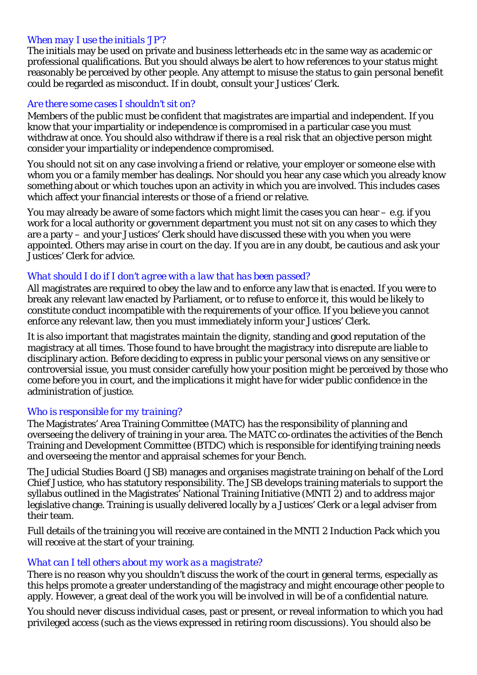#### *When may I use the initials 'JP'?*

The initials may be used on private and business letterheads etc in the same way as academic or professional qualifications. But you should always be alert to how references to your status might reasonably be perceived by other people. Any attempt to misuse the status to gain personal benefit could be regarded as misconduct. If in doubt, consult your Justices' Clerk.

#### *Are there some cases I shouldn't sit on?*

Members of the public must be confident that magistrates are impartial and independent. If you know that your impartiality or independence is compromised in a particular case you must withdraw at once. You should also withdraw if there is a real risk that an objective person might consider your impartiality or independence compromised.

You should not sit on any case involving a friend or relative, your employer or someone else with whom you or a family member has dealings. Nor should you hear any case which you already know something about or which touches upon an activity in which you are involved. This includes cases which affect your financial interests or those of a friend or relative.

You may already be aware of some factors which might limit the cases you can hear – e.g. if you work for a local authority or government department you must not sit on any cases to which they are a party – and your Justices' Clerk should have discussed these with you when you were appointed. Others may arise in court on the day. If you are in any doubt, be cautious and ask your Justices' Clerk for advice.

### *What should I do if I don't agree with a law that has been passed?*

All magistrates are required to obey the law and to enforce any law that is enacted. If you were to break any relevant law enacted by Parliament, or to refuse to enforce it, this would be likely to constitute conduct incompatible with the requirements of your office. If you believe you cannot enforce any relevant law, then you must immediately inform your Justices' Clerk.

It is also important that magistrates maintain the dignity, standing and good reputation of the magistracy at all times. Those found to have brought the magistracy into disrepute are liable to disciplinary action. Before deciding to express in public your personal views on any sensitive or controversial issue, you must consider carefully how your position might be perceived by those who come before you in court, and the implications it might have for wider public confidence in the administration of justice.

#### *Who is responsible for my training?*

The Magistrates' Area Training Committee (MATC) has the responsibility of planning and overseeing the delivery of training in your area. The MATC co-ordinates the activities of the Bench Training and Development Committee (BTDC) which is responsible for identifying training needs and overseeing the mentor and appraisal schemes for your Bench.

The Judicial Studies Board (JSB) manages and organises magistrate training on behalf of the Lord Chief Justice, who has statutory responsibility. The JSB develops training materials to support the syllabus outlined in the Magistrates' National Training Initiative (MNTI 2) and to address major legislative change. Training is usually delivered locally by a Justices' Clerk or a legal adviser from their team.

Full details of the training you will receive are contained in the MNTI 2 Induction Pack which you will receive at the start of your training.

### *What can I tell others about my work as a magistrate?*

There is no reason why you shouldn't discuss the work of the court in general terms, especially as this helps promote a greater understanding of the magistracy and might encourage other people to apply. However, a great deal of the work you will be involved in will be of a confidential nature.

You should *never* discuss individual cases, past or present, or reveal information to which you had privileged access (such as the views expressed in retiring room discussions). You should also be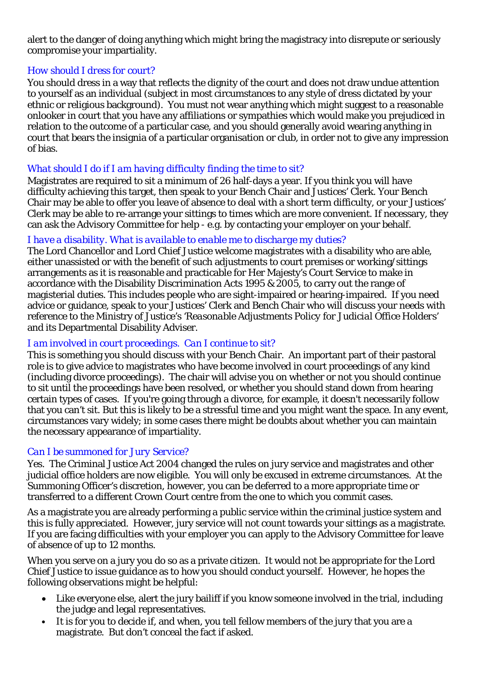alert to the danger of doing anything which might bring the magistracy into disrepute or seriously compromise your impartiality.

### *How should I dress for court?*

You should dress in a way that reflects the dignity of the court and does not draw undue attention to yourself as an individual (subject in most circumstances to any style of dress dictated by your ethnic or religious background). You must not wear anything which might suggest to a reasonable onlooker in court that you have any affiliations or sympathies which would make you prejudiced in relation to the outcome of a particular case, and you should generally avoid wearing anything in court that bears the insignia of a particular organisation or club, in order not to give any impression of bias.

# *What should I do if I am having difficulty finding the time to sit?*

Magistrates are required to sit a minimum of 26 half-days a year. If you think you will have difficulty achieving this target, then speak to your Bench Chair and Justices' Clerk. Your Bench Chair may be able to offer you leave of absence to deal with a short term difficulty, or your Justices' Clerk may be able to re-arrange your sittings to times which are more convenient. If necessary, they can ask the Advisory Committee for help - e.g. by contacting your employer on your behalf.

### *I have a disability. What is available to enable me to discharge my duties?*

The Lord Chancellor and Lord Chief Justice welcome magistrates with a disability who are able, either unassisted or with the benefit of such adjustments to court premises or working/sittings arrangements as it is reasonable and practicable for Her Majesty's Court Service to make in accordance with the Disability Discrimination Acts 1995 & 2005, to carry out the range of magisterial duties. This includes people who are sight-impaired or hearing-impaired. If you need advice or guidance, speak to your Justices' Clerk and Bench Chair who will discuss your needs with reference to the Ministry of Justice's '*Reasonable Adjustments Policy for Judicial Office Holders'* and its Departmental Disability Adviser.

### *I am involved in court proceedings. Can I continue to sit?*

This is something you should discuss with your Bench Chair. An important part of their pastoral role is to give advice to magistrates who have become involved in court proceedings of any kind (including divorce proceedings). The chair will advise you on whether or not you should continue to sit until the proceedings have been resolved, or whether you should stand down from hearing certain types of cases. If you're going through a divorce, for example, it doesn't necessarily follow that you can't sit. But this is likely to be a stressful time and you might want the space. In any event, circumstances vary widely; in some cases there might be doubts about whether you can maintain the necessary appearance of impartiality.

### *Can I be summoned for Jury Service?*

Yes. The Criminal Justice Act 2004 changed the rules on jury service and magistrates and other judicial office holders are now eligible. You will only be excused in extreme circumstances. At the Summoning Officer's discretion, however, you can be deferred to a more appropriate time or transferred to a different Crown Court centre from the one to which you commit cases.

As a magistrate you are already performing a public service within the criminal justice system and this is fully appreciated. However, jury service will not count towards your sittings as a magistrate. If you are facing difficulties with your employer you can apply to the Advisory Committee for leave of absence of up to 12 months.

When you serve on a jury you do so as a private citizen. It would not be appropriate for the Lord Chief Justice to issue guidance as to how you should conduct yourself. However, he hopes the following observations might be helpful:

- Like everyone else, alert the jury bailiff if you know someone involved in the trial, including the judge and legal representatives.
- It is for you to decide if, and when, you tell fellow members of the jury that you are a magistrate. But don't conceal the fact if asked.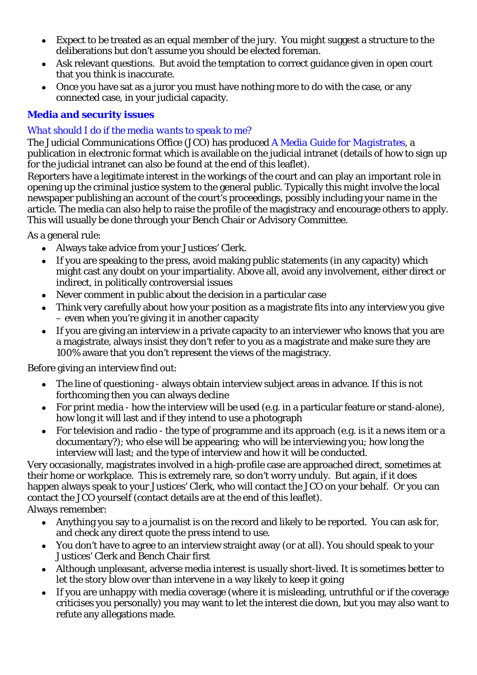- Expect to be treated as an equal member of the jury. You might suggest a structure to the deliberations but don't assume you should be elected foreman.
- Ask relevant questions. But avoid the temptation to correct guidance given in open court that you think is inaccurate.
- Once you have sat as a juror you must have nothing more to do with the case, or any connected case, in your judicial capacity.

# **Media and security issues**

# *What should I do if the media wants to speak to me?*

The Judicial Communications Office (JCO) has produced *A Media Guide for Magistrates*, a publication in electronic format which is available on the judicial intranet (details of how to sign up for the judicial intranet can also be found at the end of this leaflet).

Reporters have a legitimate interest in the workings of the court and can play an important role in opening up the criminal justice system to the general public. Typically this might involve the local newspaper publishing an account of the court's proceedings, possibly including your name in the article. The media can also help to raise the profile of the magistracy and encourage others to apply. This will usually be done through your Bench Chair or Advisory Committee.

As a general rule:

- Always take advice from your Justices' Clerk.
- If you are speaking to the press, avoid making public statements (in any capacity) which might cast any doubt on your impartiality. Above all, avoid any involvement, either direct or indirect, in politically controversial issues
- Never comment in public about the decision in a particular case
- Think very carefully about how your position as a magistrate fits into any interview you give – even when you're giving it in another capacity
- If you are giving an interview in a private capacity to an interviewer who knows that you are a magistrate, always insist they don't refer to you as a magistrate and make sure they are 100% aware that you don't represent the views of the magistracy.

Before giving an interview find out:

- The line of questioning always obtain interview subject areas in advance. If this is not forthcoming then you can always decline
- For print media how the interview will be used (e.g. in a particular feature or stand-alone), how long it will last and if they intend to use a photograph
- For television and radio the type of programme and its approach (e.g. is it a news item or a documentary?); who else will be appearing; who will be interviewing you; how long the interview will last; and the type of interview and how it will be conducted.

Very occasionally, magistrates involved in a high-profile case are approached direct, sometimes at their home or workplace. This is extremely rare, so don't worry unduly. But again, if it does happen always speak to your Justices' Clerk, who will contact the JCO on your behalf. Or you can contact the JCO yourself (contact details are at the end of this leaflet).

Always remember:

- Anything you say to a journalist is on the record and likely to be reported. You can ask for, and check any direct quote the press intend to use.
- You don't have to agree to an interview straight away (or at all). You should speak to your Justices' Clerk and Bench Chair first
- Although unpleasant, adverse media interest is usually short-lived. It is sometimes better to let the story blow over than intervene in a way likely to keep it going
- If you are unhappy with media coverage (where it is misleading, untruthful or if the coverage criticises you personally) you may want to let the interest die down, but you may also want to refute any allegations made.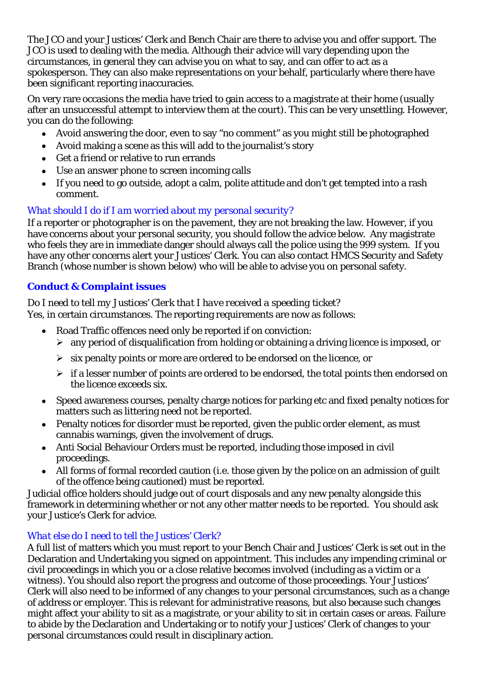The JCO and your Justices' Clerk and Bench Chair are there to advise you and offer support. The JCO is used to dealing with the media. Although their advice will vary depending upon the circumstances, in general they can advise you on what to say, and can offer to act as a spokesperson. They can also make representations on your behalf, particularly where there have been significant reporting inaccuracies.

On very rare occasions the media have tried to gain access to a magistrate at their home (usually after an unsuccessful attempt to interview them at the court). This can be very unsettling. However, you can do the following:

- Avoid answering the door, even to say "no comment" as you might still be photographed
- Avoid making a scene as this will add to the journalist's story
- Get a friend or relative to run errands
- Use an answer phone to screen incoming calls
- If you need to go outside, adopt a calm, polite attitude and don't get tempted into a rash comment.

# *What should I do if I am worried about my personal security?*

If a reporter or photographer is on the pavement, they are not breaking the law. However, if you have concerns about your personal security, you should follow the advice below. Any magistrate who feels they are in immediate danger should always call the police using the 999 system. If you have any other concerns alert your Justices' Clerk. You can also contact HMCS Security and Safety Branch (whose number is shown below) who will be able to advise you on personal safety.

# **Conduct & Complaint issues**

### *Do I need to tell my Justices' Clerk that I have received a speeding ticket?*

Yes, in certain circumstances. The reporting requirements are now as follows:

- Road Traffic offences need only be reported if on conviction:
	- $\triangleright$  any period of disqualification from holding or obtaining a driving licence is imposed, or
	- $\triangleright$  six penalty points or more are ordered to be endorsed on the licence, or
	- $\triangleright$  if a lesser number of points are ordered to be endorsed, the total points then endorsed on the licence exceeds six.
- Speed awareness courses, penalty charge notices for parking etc and fixed penalty notices for matters such as littering need not be reported.
- Penalty notices for disorder must be reported, given the public order element, as must cannabis warnings, given the involvement of drugs.
- Anti Social Behaviour Orders must be reported, including those imposed in civil proceedings.
- All forms of formal recorded caution (i.e. those given by the police on an admission of guilt of the offence being cautioned) must be reported.

Judicial office holders should judge out of court disposals and any new penalty alongside this framework in determining whether or not any other matter needs to be reported. You should ask your Justice's Clerk for advice.

# *What else do I need to tell the Justices' Clerk?*

A full list of matters which you must report to your Bench Chair and Justices' Clerk is set out in the Declaration and Undertaking you signed on appointment. This includes any impending criminal or civil proceedings in which you or a close relative becomes involved (including as a victim or a witness). You should also report the progress and outcome of those proceedings. Your Justices' Clerk will also need to be informed of any changes to your personal circumstances, such as a change of address or employer. This is relevant for administrative reasons, but also because such changes might affect your ability to sit as a magistrate, or your ability to sit in certain cases or areas. Failure to abide by the Declaration and Undertaking or to notify your Justices' Clerk of changes to your personal circumstances could result in disciplinary action.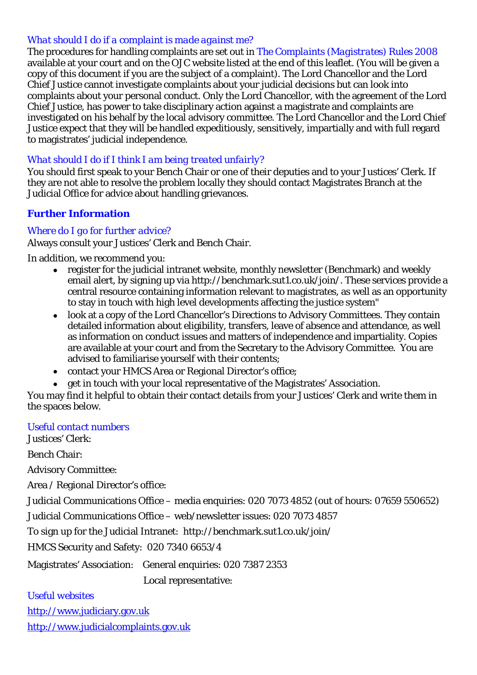#### *What should I do if a complaint is made against me?*

The procedures for handling complaints are set out in *The Complaints (Magistrates) Rules 2008* available at your court and on the OJC website listed at the end of this leaflet. (You will be given a copy of this document if you are the subject of a complaint). The Lord Chancellor and the Lord Chief Justice cannot investigate complaints about your judicial decisions but can look into complaints about your personal conduct. Only the Lord Chancellor, with the agreement of the Lord Chief Justice, has power to take disciplinary action against a magistrate and complaints are investigated on his behalf by the local advisory committee. The Lord Chancellor and the Lord Chief Justice expect that they will be handled expeditiously, sensitively, impartially and with full regard to magistrates' judicial independence.

#### *What should I do if I think I am being treated unfairly?*

You should first speak to your Bench Chair or one of their deputies and to your Justices' Clerk. If they are not able to resolve the problem locally they should contact Magistrates Branch at the Judicial Office for advice about handling grievances.

### **Further Information**

#### *Where do I go for further advice?*

Always consult your Justices' Clerk and Bench Chair.

In addition, we recommend you:

- register for the judicial intranet website, monthly newsletter (Benchmark) and weekly email alert, by signing up via <http://benchmark.sut1.co.uk/join/>. These services provide a central resource containing information relevant to magistrates, as well as an opportunity to stay in touch with high level developments affecting the justice system"
- look at a copy of the Lord Chancellor's Directions to Advisory Committees. They contain detailed information about eligibility, transfers, leave of absence and attendance, as well as information on conduct issues and matters of independence and impartiality. Copies are available at your court and from the Secretary to the Advisory Committee. You are advised to familiarise yourself with their contents;
- contact your HMCS Area or Regional Director's office;
- get in touch with your local representative of the Magistrates' Association.

You may find it helpful to obtain their contact details from your Justices' Clerk and write them in the spaces below.

#### *Useful contact numbers*

Justices' Clerk:

Bench Chair:

Advisory Committee:

Area / Regional Director's office:

Judicial Communications Office – media enquiries: 020 7073 4852 (out of hours: 07659 550652)

Judicial Communications Office – web/newsletter issues: 020 7073 4857

To sign up for the Judicial Intranet: http://benchmark.sut1.co.uk/join/

HMCS Security and Safety: 020 7340 6653/4

Magistrates' Association: General enquiries: 020 7387 2353

Local representative:

#### *Useful websites*

[http://www.judiciary.gov.uk](http://www.judiciary.gov.uk/) 

[http://www.judicialcomplaints.gov.uk](http://www.judicialcomplaints.gov.uk/)